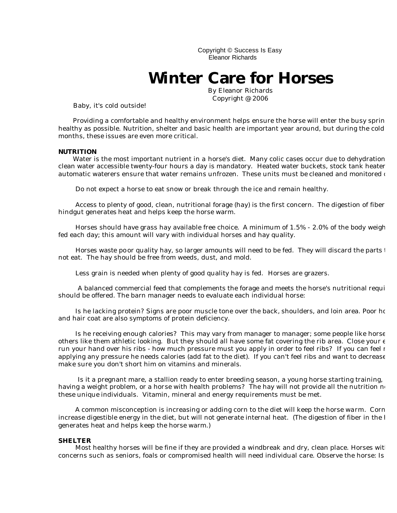Copyright © Success Is Easy Eleanor Richards

## **Winter Care for Horses**

By Eleanor Richards Copyright @ 2006

Baby, it's cold outside!

Providing a comfortable and healthy environment helps ensure the horse will enter the busy sprin healthy as possible. Nutrition, shelter and basic health are important year around, but during the cold months, these issues are even more critical.

## **NUTRITION**

Water is the most important nutrient in a horse's diet. Many colic cases occur due to dehydration. clean water accessible twenty-four hours a day is mandatory. Heated water buckets, stock tank heater automatic waterers ensure that water remains unfrozen. These units must be cleaned and monitored  $\epsilon$ 

Do not expect a horse to eat snow or break through the ice and remain healthy.

Access to plenty of good, clean, nutritional forage (hay) is the first concern. The digestion of fiber hindgut generates heat and helps keep the horse warm.

Horses should have grass hay available free choice. A minimum of  $1.5\%$  -  $2.0\%$  of the body weigh fed each day; this amount will vary with individual horses and hay quality.

Horses waste po or quality hay, so larger amounts will need to be fed. They will discard the parts to not eat. The hay should be free from weeds, dust, and mold.

Less grain is needed when plenty of good quality hay is fed. Horses are grazers.

A balanced commercial feed that complements the forage and meets the horse's nutritional requi should be offered. The barn manager needs to evaluate each individual horse:

Is he lacking protein? Signs are poor muscle tone over the back, shoulders, and loin area. Poor hoof and hair coat are also symptoms of protein deficiency.

Is he receiving enough calories? This may vary from manager to manager; some people like horse others like them athletic looking. But they should all have some fat covering the rib area. Close your e run your hand over his ribs - how much pressure must you apply in order to feel ribs? If you can feel r applying any pressure he needs calories (add fat to the diet). If you can't feel ribs and want to decrease make sure you don't short him on vitamins and minerals.

Is it a pregnant mare, a stallion ready to enter breeding season, a young horse starting training, having a weight problem, or a horse with health problems? The hay will not provide all the nutrition  $\mathbf{n}_0$ these unique individuals. Vitamin, mineral and energy requirements must be met.

A common misconception is increasing or adding corn to the diet will keep the horse warm. Corn increase digestible energy in the diet, but will not generate internal heat. (The digestion of fiber in the  $l$ generates heat and helps keep the horse warm.)

## **SHELTER**

Most healthy horses will be fine if they are provided a windbreak and dry, clean place. Horses wit concerns such as seniors, foals or compromised health will need individual care. Observe the horse: Is